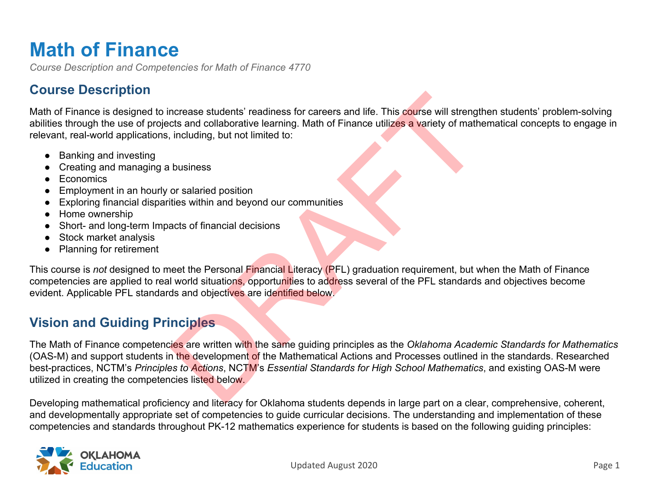# **Math of Finance**

*Course Description and Competencies for Math of Finance 4770*

# **Course Description**

Math of Finance is designed to increase students' readiness for careers and life. This course will strengthen students' problem-solving abilities through the use of projects and collaborative learning. Math of Finance utilizes a variety of mathematical concepts to engage in relevant, real-world applications, including, but not limited to:

- Banking and investing
- Creating and managing a business
- Economics
- Employment in an hourly or salaried position
- Exploring financial disparities within and beyond our communities
- Home ownership
- Short- and long-term Impacts of financial decisions
- Stock market analysis
- Planning for retirement

This course is *not* designed to meet the Personal Financial Literacy (PFL) graduation requirement, but when the Math of Finance competencies are applied to real world situations, opportunities to address several of the PFL standards and objectives become evident. Applicable PFL standards and objectives are identified below.

# **Vision and Guiding Principles**

The Math of Finance competencies are written with the same guiding principles as the *Oklahoma Academic Standards for Mathematics* (OAS-M) and support students in the development of the Mathematical Actions and Processes outlined in the standards. Researched best-practices, NCTM's *Principles to Actions*, NCTM's *Essential Standards for High School Mathematics*, and existing OAS-M were utilized in creating the competencies listed below. ncrease students' readiness for careers and life. This course will strengt<br>
cts and collaborative learning. Math of Finance utilizes a variety of math<br>
including, but not limited to:<br>
business<br>
or salaried position<br>
dustri

Developing mathematical proficiency and literacy for Oklahoma students depends in large part on a clear, comprehensive, coherent, and developmentally appropriate set of competencies to guide curricular decisions. The understanding and implementation of these competencies and standards throughout PK-12 mathematics experience for students is based on the following guiding principles:

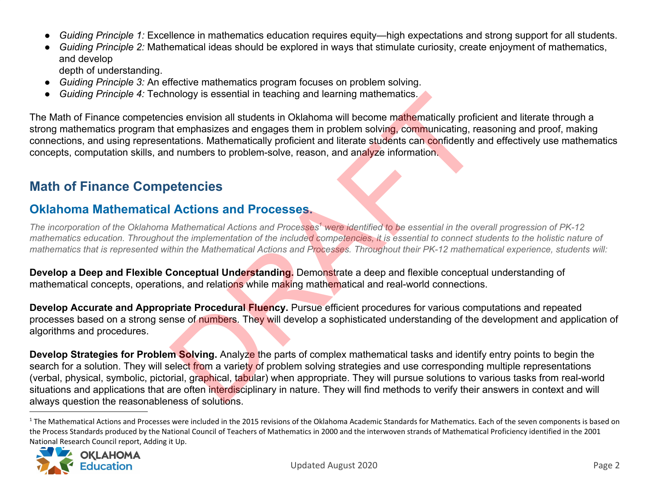- *Guiding Principle 1:* Excellence in mathematics education requires equity—high expectations and strong support for all students.
- *Guiding Principle 2:* Mathematical ideas should be explored in ways that stimulate curiosity, create enjoyment of mathematics, and develop

depth of understanding.

- *Guiding Principle 3:* An effective mathematics program focuses on problem solving.
- *Guiding Principle 4:* Technology is essential in teaching and learning mathematics.

The Math of Finance competencies envision all students in Oklahoma will become mathematically proficient and literate through a strong mathematics program that emphasizes and engages them in problem solving, communicating, reasoning and proof, making connections, and using representations. Mathematically proficient and literate students can confidently and effectively use mathematics concepts, computation skills, and numbers to problem-solve, reason, and analyze information.

# **Math of Finance Competencies**

# **Oklahoma Mathematical Actions and Processes.**

*The incorporation of the Oklahoma Mathematical Actions and Processes were identified to be essential in the overall progression of PK-12 <sup>1</sup> mathematics education. Throughout the implementation of the included competencies, it is essential to connect students to the holistic nature of mathematics that is represented within the Mathematical Actions and Processes. Throughout their PK-12 mathematical experience, students will:*

**Develop a Deep and Flexible Conceptual Understanding.** Demonstrate a deep and flexible conceptual understanding of mathematical concepts, operations, and relations while making mathematical and real-world connections.

**Develop Accurate and Appropriate Procedural Fluency.** Pursue efficient procedures for various computations and repeated processes based on a strong sense of numbers. They will develop a sophisticated understanding of the development and application of algorithms and procedures.

**Develop Strategies for Problem Solving.** Analyze the parts of complex mathematical tasks and identify entry points to begin the search for a solution. They will select from a variety of problem solving strategies and use corresponding multiple representations (verbal, physical, symbolic, pictorial, graphical, tabular) when appropriate. They will pursue solutions to various tasks from real-world situations and applications that are often interdisciplinary in nature. They will find methods to verify their answers in context and will always question the reasonableness of solutions. nology is essential in teaching and learning mathematics.<br>
Lies envision all students in Oklahoma will become mathematically profict<br>
the temphasizes and engages them in problem solving, communicating, read<br>
at dumbers to

<sup>&</sup>lt;sup>1</sup> The Mathematical Actions and Processes were included in the 2015 revisions of the Oklahoma Academic Standards for Mathematics. Each of the seven components is based on the Process Standards produced by the National Council of Teachers of Mathematics in 2000 and the interwoven strands of Mathematical Proficiency identified in the 2001 National Research Council report, Adding it Up.

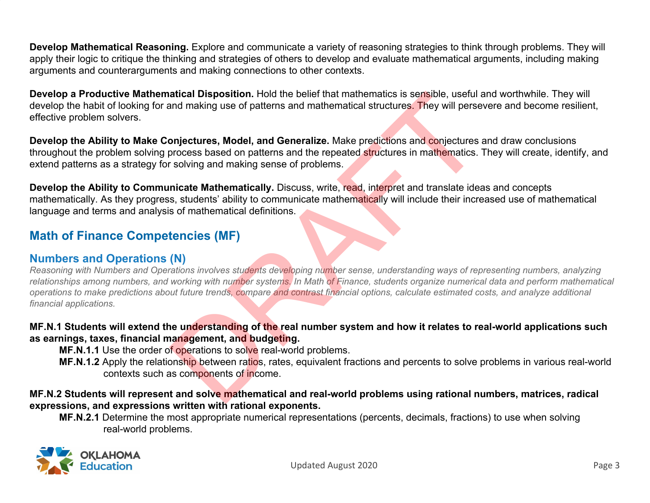**Develop Mathematical Reasoning.** Explore and communicate a variety of reasoning strategies to think through problems. They will apply their logic to critique the thinking and strategies of others to develop and evaluate mathematical arguments, including making arguments and counterarguments and making connections to other contexts.

**Develop a Productive Mathematical Disposition.** Hold the belief that mathematics is sensible, useful and worthwhile. They will develop the habit of looking for and making use of patterns and mathematical structures. They will persevere and become resilient, effective problem solvers.

**Develop the Ability to Make Conjectures, Model, and Generalize.** Make predictions and conjectures and draw conclusions throughout the problem solving process based on patterns and the repeated structures in mathematics. They will create, identify, and extend patterns as a strategy for solving and making sense of problems.

**Develop the Ability to Communicate Mathematically.** Discuss, write, read, interpret and translate ideas and concepts mathematically. As they progress, students' ability to communicate mathematically will include their increased use of mathematical language and terms and analysis of mathematical definitions.

# **Math of Finance Competencies (MF)**

### **Numbers and Operations (N)**

*Reasoning with Numbers and Operations involves students developing number sense, understanding ways of representing numbers, analyzing relationships among numbers, and working with number systems. In Math of Finance, students organize numerical data and perform mathematical operations to make predictions about future trends, compare and contrast financial options, calculate estimated costs, and analyze additional financial applications.* atical Disposition. Hold the belief that mathematics is sensible, useful and making use of patterns and mathematical structures. They will perse<br>
onjectures, Model, and Generalize. Make predictions and conjectures<br>
strokes

### **MF.N.1 Students will extend the understanding of the real number system and how it relates to real-world applications such as earnings, taxes, financial management, and budgeting.**

**MF.N.1.1** Use the order of operations to solve real-world problems.

**MF.N.1.2** Apply the relationship between ratios, rates, equivalent fractions and percents to solve problems in various real-world contexts such as components of income.

### **MF.N.2 Students will represent and solve mathematical and real-world problems using rational numbers, matrices, radical expressions, and expressions written with rational exponents.**

**MF.N.2.1** Determine the most appropriate numerical representations (percents, decimals, fractions) to use when solving real-world problems.

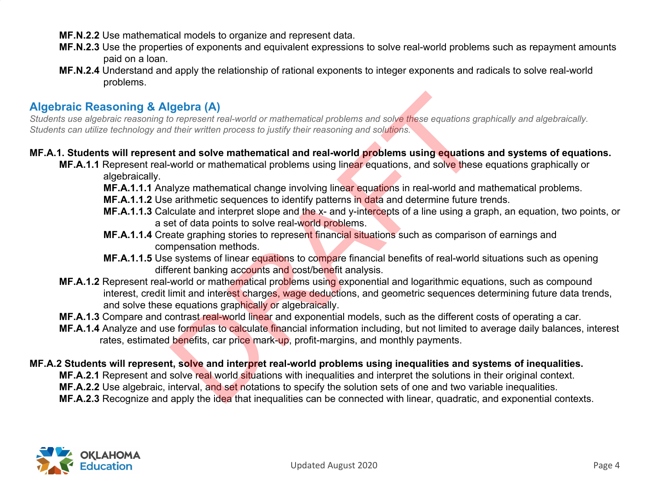- **MF.N.2.2** Use mathematical models to organize and represent data.
- **MF.N.2.3** Use the properties of exponents and equivalent expressions to solve real-world problems such as repayment amounts paid on a loan.
- **MF.N.2.4** Understand and apply the relationship of rational exponents to integer exponents and radicals to solve real-world problems.

# **Algebraic Reasoning & Algebra (A)**

*Students use algebraic reasoning to represent real-world or mathematical problems and solve these equations graphically and algebraically. Students can utilize technology and their written process to justify their reasoning and solutions.*

### **MF.A.1. Students will represent and solve mathematical and real-world problems using equations and systems of equations.**

- **MF.A.1.1** Represent real-world or mathematical problems using linear equations, and solve these equations graphically or algebraically.
	- **MF.A.1.1.1** Analyze mathematical change involving linear equations in real-world and mathematical problems.
	- **MF.A.1.1.2** Use arithmetic sequences to identify patterns in data and determine future trends.
	- **MF.A.1.1.3** Calculate and interpret slope and the x- and y-intercepts of a line using a graph, an equation, two points, or a set of data points to solve real-world problems.
	- **MF.A.1.1.4** Create graphing stories to represent financial situations such as comparison of earnings and compensation methods.
	- **MF.A.1.1.5** Use systems of linear equations to compare financial benefits of real-world situations such as opening different banking accounts and cost/benefit analysis.
- **MF.A.1.2** Represent real-world or mathematical problems using exponential and logarithmic equations, such as compound interest, credit limit and interest charges, wage deductions, and geometric sequences determining future data trends, and solve these equations graphically or algebraically. gebra (A)<br>o represent real-world or mathematical problems and solve these equations grate their written process to justify their reasoning and solutions.<br>
at and solve mathematical and real-world problems using equations<br>
- **MF.A.1.3** Compare and contrast real-world linear and exponential models, such as the different costs of operating a car.
- **MF.A.1.4** Analyze and use formulas to calculate financial information including, but not limited to average daily balances, interest rates, estimated benefits, car price mark-up, profit-margins, and monthly payments.

### **MF.A.2 Students will represent, solve and interpret real-world problems using inequalities and systems of inequalities.**

- **MF.A.2.1** Represent and solve real world situations with inequalities and interpret the solutions in their original context.
- **MF.A.2.2** Use algebraic, interval, and set notations to specify the solution sets of one and two variable inequalities.
- **MF.A.2.3** Recognize and apply the idea that inequalities can be connected with linear, quadratic, and exponential contexts.

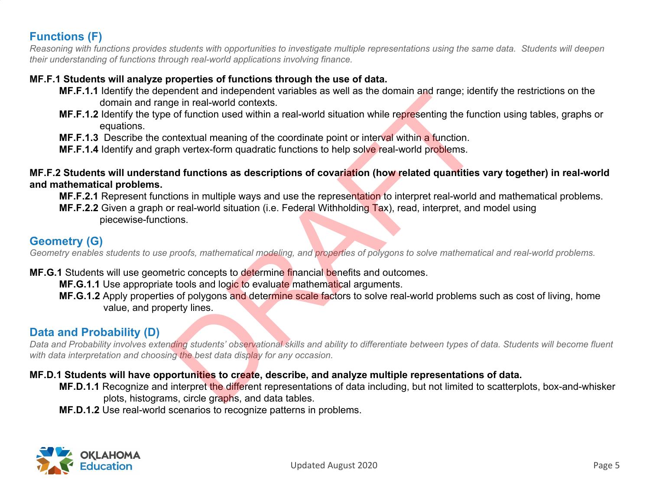# **Functions (F)**

*Reasoning with functions provides students with opportunities to investigate multiple representations using the same data. Students will deepen their understanding of functions through real-world applications involving finance.*

### **MF.F.1 Students will analyze properties of functions through the use of data.**

- **MF.F.1.1** Identify the dependent and independent variables as well as the domain and range; identify the restrictions on the domain and range in real-world contexts.
- **MF.F.1.2** Identify the type of function used within a real-world situation while representing the function using tables, graphs or equations.
- **MF.F.1.3** Describe the contextual meaning of the coordinate point or interval within a function.
- **MF.F.1.4** Identify and graph vertex-form quadratic functions to help solve real-world problems.

# **MF.F.2 Students will understand functions as descriptions of covariation (how related quantities vary together) in real-world and mathematical problems.** ententinal interpetition in a material model in the same of the contains and the presenting the function.<br>The in real-world contexts.<br>
Definition used within a real-world situation while representing the function.<br>
ph vert

**MF.F.2.1** Represent functions in multiple ways and use the representation to interpret real-world and mathematical problems.

**MF.F.2.2** Given a graph or real-world situation (i.e. Federal Withholding Tax), read, interpret, and model using piecewise-functions.

# **Geometry (G)**

*Geometry enables students to use proofs, mathematical modeling, and properties of polygons to solve mathematical and real-world problems.*

- **MF.G.1** Students will use geometric concepts to determine financial benefits and outcomes.
	- **MF.G.1.1** Use appropriate tools and logic to evaluate mathematical arguments.
	- **MF.G.1.2** Apply properties of polygons and determine scale factors to solve real-world problems such as cost of living, home value, and property lines.

# **Data and Probability (D)**

*Data and Probability involves extending students' observational skills and ability to differentiate between types of data. Students will become fluent with data interpretation and choosing the best data display for any occasion.*

### **MF.D.1 Students will have opportunities to create, describe, and analyze multiple representations of data.**

- **MF.D.1.1** Recognize and interpret the different representations of data including, but not limited to scatterplots, box-and-whisker plots, histograms, circle graphs, and data tables.
- **MF.D.1.2** Use real-world scenarios to recognize patterns in problems.

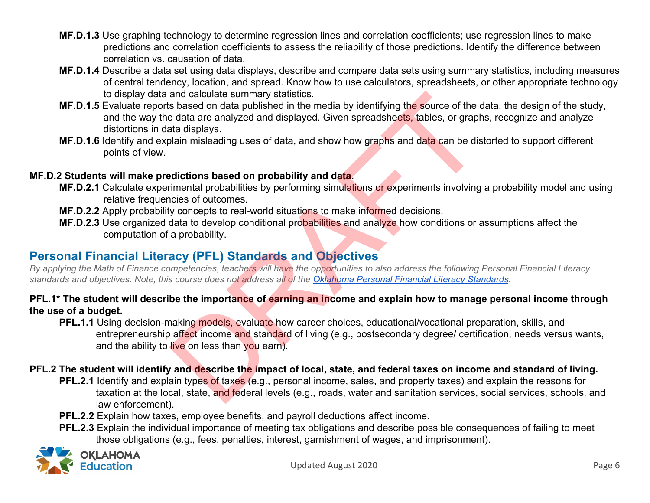- **MF.D.1.3** Use graphing technology to determine regression lines and correlation coefficients; use regression lines to make predictions and correlation coefficients to assess the reliability of those predictions. Identify the difference between correlation vs. causation of data.
- **MF.D.1.4** Describe a data set using data displays, describe and compare data sets using summary statistics, including measures of central tendency, location, and spread. Know how to use calculators, spreadsheets, or other appropriate technology to display data and calculate summary statistics.
- **MF.D.1.5** Evaluate reports based on data published in the media by identifying the source of the data, the design of the study, and the way the data are analyzed and displayed. Given spreadsheets, tables, or graphs, recognize and analyze distortions in data displays. and calculate summary statistics.<br>
So based on data published in the media by identifying the source of the c<br>
so based on data published in the media by identifying the source of the c<br>
edia are analyzed and displayed. Gi
- **MF.D.1.6** Identify and explain misleading uses of data, and show how graphs and data can be distorted to support different points of view.

### **MF.D.2 Students will make predictions based on probability and data.**

- **MF.D.2.1** Calculate experimental probabilities by performing simulations or experiments involving a probability model and using relative frequencies of outcomes.
- **MF.D.2.2** Apply probability concepts to real-world situations to make informed decisions.
- **MF.D.2.3** Use organized data to develop conditional probabilities and analyze how conditions or assumptions affect the computation of a probability.

# **Personal Financial Literacy (PFL) Standards and Objectives**

*By applying the Math of Finance competencies, teachers will have the opportunities to also address the following Personal Financial Literacy standards and objectives. Note, this course does not address all of the [Oklahoma Personal Financial Literacy Standards.](https://sde.ok.gov/sites/default/files/documents/files/OklaAcadStandards-PFL-8.10.19.pdf)*

### **PFL.1\* The student will describe the importance of earning an income and explain how to manage personal income through the use of a budget.**

**PFL.1.1** Using decision-making models, evaluate how career choices, educational/vocational preparation, skills, and entrepreneurship affect income and standard of living (e.g., postsecondary degree/ certification, needs versus wants, and the ability to live on less than you earn).

### **PFL.2 The student will identify and describe the impact of local, state, and federal taxes on income and standard of living.**

- **PFL.2.1** Identify and explain types of taxes (e.g., personal income, sales, and property taxes) and explain the reasons for taxation at the local, state, and federal levels (e.g., roads, water and sanitation services, social services, schools, and law enforcement).
- **PFL.2.2** Explain how taxes, employee benefits, and payroll deductions affect income.
- **PFL.2.3** Explain the individual importance of meeting tax obligations and describe possible consequences of failing to meet those obligations (e.g., fees, penalties, interest, garnishment of wages, and imprisonment).

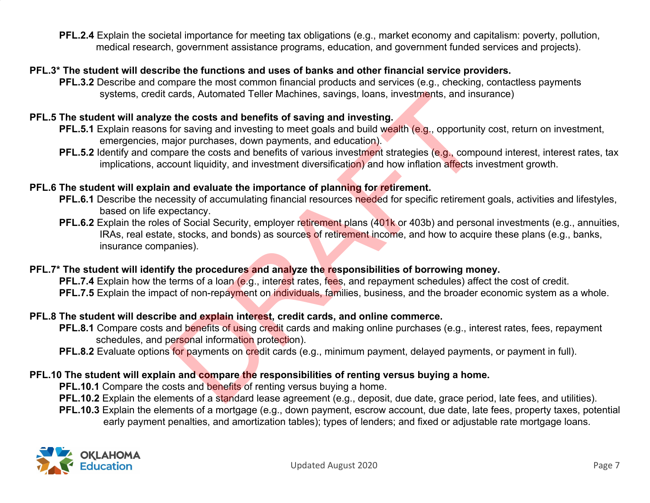**PFL.2.4** Explain the societal importance for meeting tax obligations (e.g., market economy and capitalism: poverty, pollution, medical research, government assistance programs, education, and government funded services and projects).

### **PFL.3\* The student will describe the functions and uses of banks and other financial service providers.**

**PFL.3.2** Describe and compare the most common financial products and services (e.g., checking, contactless payments systems, credit cards, Automated Teller Machines, savings, loans, investments, and insurance)

### **PFL.5 The student will analyze the costs and benefits of saving and investing.**

- **PFL.5.1** Explain reasons for saving and investing to meet goals and build wealth (e.g., opportunity cost, return on investment, emergencies, major purchases, down payments, and education).
- **PFL.5.2** Identify and compare the costs and benefits of various investment strategies (e.g., compound interest, interest rates, tax implications, account liquidity, and investment diversification) and how inflation affects investment growth.

### **PFL.6 The student will explain and evaluate the importance of planning for retirement.**

- **PFL.6.1** Describe the necessity of accumulating financial resources needed for specific retirement goals, activities and lifestyles, based on life expectancy.
- **PFL.6.2** Explain the roles of Social Security, employer retirement plans (401k or 403b) and personal investments (e.g., annuities, IRAs, real estate, stocks, and bonds) as sources of retirement income, and how to acquire these plans (e.g., banks, insurance companies). cards, Automated Teller Machines, savings, loans, investments, and instant the costs and benefits of saving and investing.<br>
for saving and investing to meet goals and build wealth (e.g., opportunity<br>
piare the costs and be

### **PFL.7\* The student will identify the procedures and analyze the responsibilities of borrowing money.**

**PFL.7.4** Explain how the terms of a loan (e.g., interest rates, fees, and repayment schedules) affect the cost of credit. **PFL.7.5** Explain the impact of non-repayment on individuals, families, business, and the broader economic system as a whole.

### **PFL.8 The student will describe and explain interest, credit cards, and online commerce.**

- **PFL.8.1** Compare costs and benefits of using credit cards and making online purchases (e.g., interest rates, fees, repayment schedules, and personal information protection).
- **PFL.8.2** Evaluate options for payments on credit cards (e.g., minimum payment, delayed payments, or payment in full).

### **PFL.10 The student will explain and compare the responsibilities of renting versus buying a home.**

**PFL.10.1** Compare the costs and benefits of renting versus buying a home.

- **PFL.10.2** Explain the elements of a standard lease agreement (e.g., deposit, due date, grace period, late fees, and utilities).
- **PFL.10.3** Explain the elements of a mortgage (e.g., down payment, escrow account, due date, late fees, property taxes, potential early payment penalties, and amortization tables); types of lenders; and fixed or adjustable rate mortgage loans.